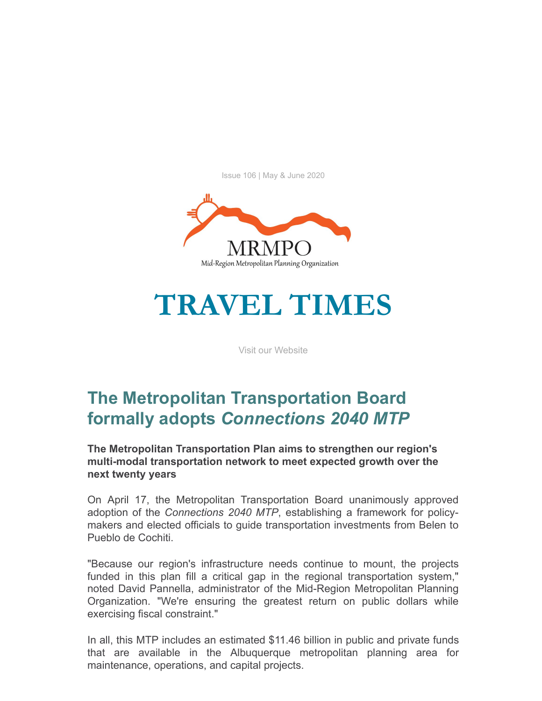Issue 106 | May & June 2020



# **TRAVEL TIMES**

[Visit our Website](http://r20.rs6.net/tn.jsp?f=001QAgqpOvGxjQ-yekbrZPImaGdlL2Ttsfl9Bu_9MOxM0VINj1DHB4nyPd8oFvP_ig5C82jwZ0xdqaQbhAsMGflyGSxeWESYSaNx8h36_lz_7OAna5FTwnV1W3G160LlGKyf8AcoxqPqNWjjGOJfCC1GvvKgo5uVBQludsEFs-FzDU=&c=7KChoPSLilwagO9x_I_HfY6Aj4ndv73AiT5joViSFMjk1pUVy8b0GQ==&ch=YHRsPhV1LjMqzZt1ZV15OtnAxtuYSwzMnn-CbbitticRD0atsRrFEQ==)

# **The Metropolitan Transportation Board formally adopts** *Connections 2040 MTP*

#### **The Metropolitan Transportation Plan aims to strengthen our region's multi-modal transportation network to meet expected growth over the next twenty years**

On April 17, the Metropolitan Transportation Board unanimously approved adoption of the *Connections 2040 MTP*, establishing a framework for policymakers and elected officials to guide transportation investments from Belen to Pueblo de Cochiti.

"Because our region's infrastructure needs continue to mount, the projects funded in this plan fill a critical gap in the regional transportation system," noted David Pannella, administrator of the Mid-Region Metropolitan Planning Organization. "We're ensuring the greatest return on public dollars while exercising fiscal constraint."

In all, this MTP includes an estimated \$11.46 billion in public and private funds that are available in the Albuquerque metropolitan planning area for maintenance, operations, and capital projects.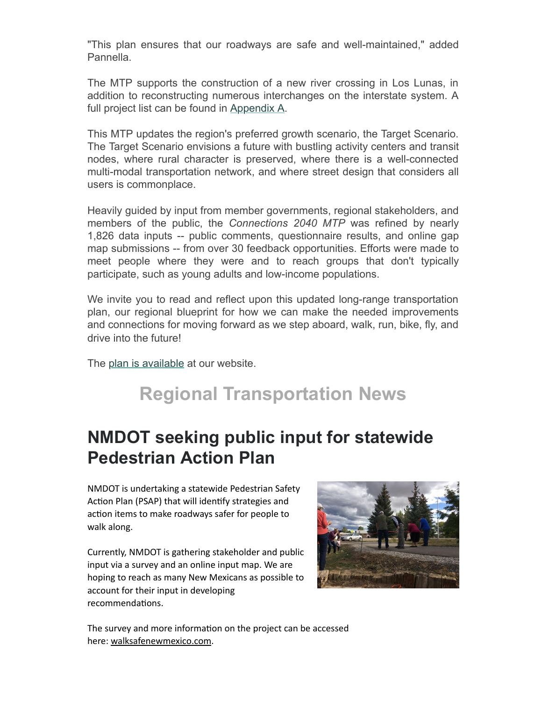"This plan ensures that our roadways are safe and well-maintained," added Pannella.

The MTP supports the construction of a new river crossing in Los Lunas, in addition to reconstructing numerous interchanges on the interstate system. A full project list can be found in [Appendix A.](http://r20.rs6.net/tn.jsp?f=001QAgqpOvGxjQ-yekbrZPImaGdlL2Ttsfl9Bu_9MOxM0VINj1DHB4nyDo3eyf_7KpTU9CqwUeyemSGSjmYp_q-Rx_4zCA5oZaGRQY5EYanEybsT8zsx_GHknKLF1mWvJHWNN1rhmwOJIR4b25ZuJ4KCVVov3EHbLl1bLS_xmyq8VfMTplgFX8sEYaeyWCnMoDFY6am3MCm-xugn3nZeMWhV5LN_Es980QVo2CfxywpfnI=&c=7KChoPSLilwagO9x_I_HfY6Aj4ndv73AiT5joViSFMjk1pUVy8b0GQ==&ch=YHRsPhV1LjMqzZt1ZV15OtnAxtuYSwzMnn-CbbitticRD0atsRrFEQ==)

This MTP updates the region's preferred growth scenario, the Target Scenario. The Target Scenario envisions a future with bustling activity centers and transit nodes, where rural character is preserved, where there is a well-connected multi-modal transportation network, and where street design that considers all users is commonplace.

Heavily guided by input from member governments, regional stakeholders, and members of the public, the *Connections 2040 MTP* was refined by nearly 1,826 data inputs -- public comments, questionnaire results, and online gap map submissions -- from over 30 feedback opportunities. Efforts were made to meet people where they were and to reach groups that don't typically participate, such as young adults and low-income populations.

We invite you to read and reflect upon this updated long-range transportation plan, our regional blueprint for how we can make the needed improvements and connections for moving forward as we step aboard, walk, run, bike, fly, and drive into the future!

The [plan is available](http://r20.rs6.net/tn.jsp?f=001QAgqpOvGxjQ-yekbrZPImaGdlL2Ttsfl9Bu_9MOxM0VINj1DHB4nyDo3eyf_7KpTybx_NbiNds1HIRCOmPCRnnH9q5o_b1sdSX_D6Wu_ZwymWirlRBLXzdcsmYFcYDXT-3dWGf7KeLRJCb5fdbcOVn3sZZYxlgjL3F9vi97nX56W4UOnPvhegA==&c=7KChoPSLilwagO9x_I_HfY6Aj4ndv73AiT5joViSFMjk1pUVy8b0GQ==&ch=YHRsPhV1LjMqzZt1ZV15OtnAxtuYSwzMnn-CbbitticRD0atsRrFEQ==) at our website.

# **Regional Transportation News**

# **NMDOT seeking public input for statewide Pedestrian Action Plan**

NMDOT is undertaking a statewide Pedestrian Safety Action Plan (PSAP) that will identify strategies and action items to make roadways safer for people to walk along.

Currently, NMDOT is gathering stakeholder and public input via a survey and an online input map. We are hoping to reach as many New Mexicans as possible to account for their input in developing recommendations.



The survey and more information on the project can be accessed here: [walksafenewmexico.com.](http://r20.rs6.net/tn.jsp?f=001QAgqpOvGxjQ-yekbrZPImaGdlL2Ttsfl9Bu_9MOxM0VINj1DHB4nyDo3eyf_7KpTFGhCiArwSnuEMLOVJg6y7a399vuTCmX_WmwwxyGRf-JpXzCjF7QvuaYK0Wu2IUwIy8QeHSvJki7FdL7u4deNhw==&c=7KChoPSLilwagO9x_I_HfY6Aj4ndv73AiT5joViSFMjk1pUVy8b0GQ==&ch=YHRsPhV1LjMqzZt1ZV15OtnAxtuYSwzMnn-CbbitticRD0atsRrFEQ==)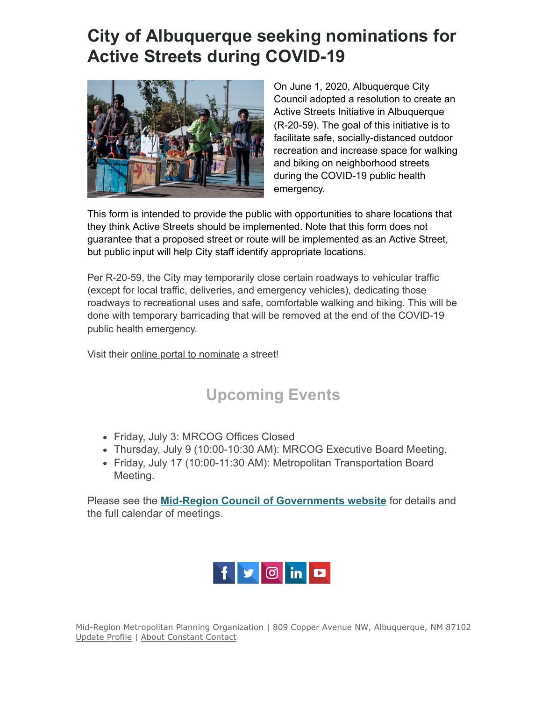# **City of Albuquerque seeking nominations for Active Streets during COVID-19**



On June 1, 2020, Albuquerque City Council adopted a resolution to create an Active Streets Initiative in Albuquerque (R-20-59). The goal of this initiative is to facilitate safe, socially-distanced outdoor recreation and increase space for walking and biking on neighborhood streets during the COVID-19 public health emergency.

This form is intended to provide the public with opportunities to share locations that they think Active Streets should be implemented. Note that this form does not guarantee that a proposed street or route will be implemented as an Active Street, but public input will help City staff identify appropriate locations.

Per R-20-59, the City may temporarily close certain roadways to vehicular traffic (except for local traffic, deliveries, and emergency vehicles), dedicating those roadways to recreational uses and safe, comfortable walking and biking. This will be done with temporary barricading that will be removed at the end of the COVID-19 public health emergency.

Visit their [online portal to nominate](http://r20.rs6.net/tn.jsp?f=001QAgqpOvGxjQ-yekbrZPImaGdlL2Ttsfl9Bu_9MOxM0VINj1DHB4nyDo3eyf_7KpTkyfMcnh8hXE6xNr9AjMsmZ68dFa9icRepVfsUmjBH-YP-GGlC5x7_EURHKFR0ZI2kCF8MlArs8i-RAOD1Fw5nULTcVPhHJkf13pQCacNOYcEBhjAsLFi1TehfVO1AHRF6QNmwoWcbNY=&c=7KChoPSLilwagO9x_I_HfY6Aj4ndv73AiT5joViSFMjk1pUVy8b0GQ==&ch=YHRsPhV1LjMqzZt1ZV15OtnAxtuYSwzMnn-CbbitticRD0atsRrFEQ==) a street!

### **Upcoming Events**

- Friday, July 3: MRCOG Offices Closed
- Thursday, July 9 (10:00-10:30 AM): MRCOG Executive Board Meeting.
- Friday, July 17 (10:00-11:30 AM): Metropolitan Transportation Board Meeting.

Please see the **[Mid-Region Council of Governments website](http://r20.rs6.net/tn.jsp?f=001QAgqpOvGxjQ-yekbrZPImaGdlL2Ttsfl9Bu_9MOxM0VINj1DHB4nyPQT95fVL2iVgVa-Ot23sScyx-u9x__EqjNBDcH2z5QXI6KMGSfKaMxgi1slISfs2ByopCWQjwV6yfQexpfGsdhZEQUnjJR7bk_m2zGj5i4LttUA9kwBXwKWGdjuMgLYzw==&c=7KChoPSLilwagO9x_I_HfY6Aj4ndv73AiT5joViSFMjk1pUVy8b0GQ==&ch=YHRsPhV1LjMqzZt1ZV15OtnAxtuYSwzMnn-CbbitticRD0atsRrFEQ==)** for details and the full calendar of meetings.



Mid-Region Metropolitan Planning Organization | 809 Copper Avenue NW, Albuquerque, NM 87102 [Update Profile](https://visitor.constantcontact.com/do?p=oo&m=001VSckXk93JZzQGlWhynywng%3D&ch=c986c600-4b96-11e7-9bf0-d4ae528ecd49&ca=c4f7c289-0992-453c-8709-7dbec2270fe4) | [About Constant Contact](http://www.constantcontact.com/legal/about-constant-contact)